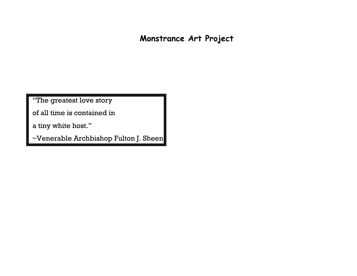**Monstrance Art Project**

"The greatest love story

of all time is contained in

a tiny white host."

~Venerable Archbishop Fulton J. Sheen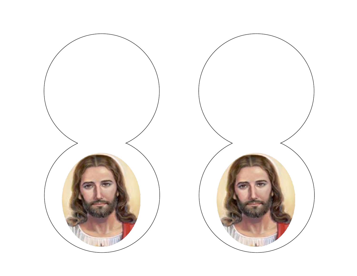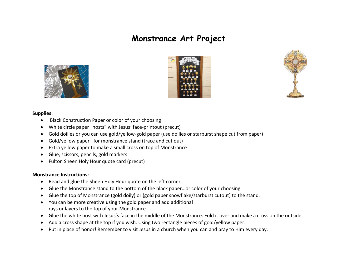## **Monstrance Art Project**







## **Supplies:**

- Black Construction Paper or color of your choosing
- White circle paper "hosts" with Jesus' face-printout (precut)
- Gold doilies or you can use gold/yellow-gold paper (use doilies or starburst shape cut from paper)
- Gold/yellow paper –for monstrance stand (trace and cut out)
- Extra yellow paper to make a small cross on top of Monstrance
- Glue, scissors, pencils, gold markers
- Fulton Sheen Holy Hour quote card (precut)

## **Monstrance Instructions:**

- Read and glue the Sheen Holy Hour quote on the left corner.
- Glue the Monstrance stand to the bottom of the black paper…or color of your choosing.
- Glue the top of Monstrance (gold doily) or (gold paper snowflake/starburst cutout) to the stand.
- You can be more creative using the gold paper and add additional rays or layers to the top of your Monstrance
- Glue the white host with Jesus's face in the middle of the Monstrance. Fold it over and make a cross on the outside.
- Add a cross shape at the top if you wish. Using two rectangle pieces of gold/yellow paper.
- Put in place of honor! Remember to visit Jesus in a church when you can and pray to Him every day.